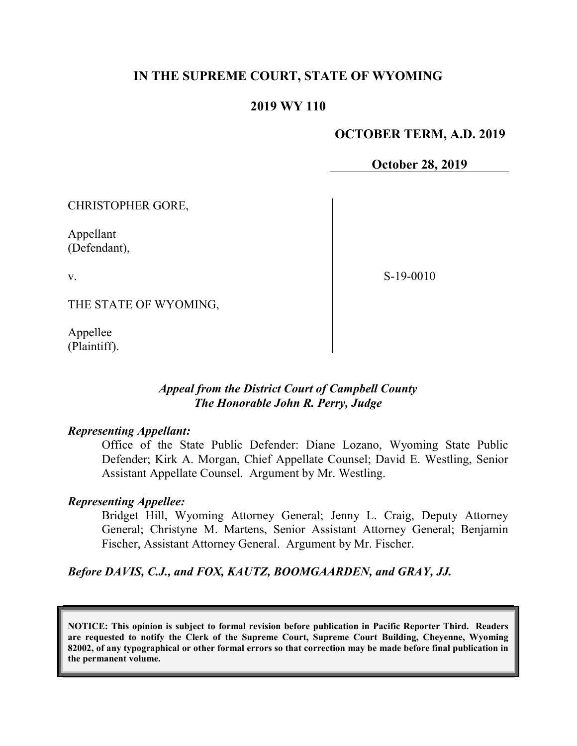# IN THE SUPREME COURT, STATE OF WYOMING

#### 2019 WY 110

#### OCTOBER TERM, A.D. 2019

October 28, 2019

CHRISTOPHER GORE,

Appellant (Defendant),

v.

S-19-0010

THE STATE OF WYOMING,

Appellee (Plaintiff).

## Appeal from the District Court of Campbell County The Honorable John R. Perry, Judge

#### Representing Appellant:

Office of the State Public Defender: Diane Lozano, Wyoming State Public Defender; Kirk A. Morgan, Chief Appellate Counsel; David E. Westling, Senior Assistant Appellate Counsel. Argument by Mr. Westling.

#### Representing Appellee:

Bridget Hill, Wyoming Attorney General; Jenny L. Craig, Deputy Attorney General; Christyne M. Martens, Senior Assistant Attorney General; Benjamin Fischer, Assistant Attorney General. Argument by Mr. Fischer.

#### Before DAVIS, C.J., and FOX, KAUTZ, BOOMGAARDEN, and GRAY, JJ.

NOTICE: This opinion is subject to formal revision before publication in Pacific Reporter Third. Readers are requested to notify the Clerk of the Supreme Court, Supreme Court Building, Cheyenne, Wyoming 82002, of any typographical or other formal errors so that correction may be made before final publication in the permanent volume.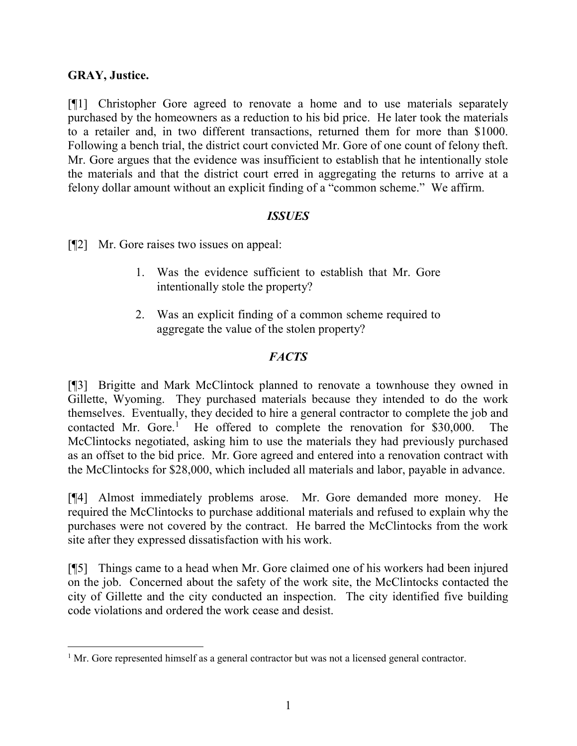# GRAY, Justice.

 $\overline{a}$ 

[¶1] Christopher Gore agreed to renovate a home and to use materials separately purchased by the homeowners as a reduction to his bid price. He later took the materials to a retailer and, in two different transactions, returned them for more than \$1000. Following a bench trial, the district court convicted Mr. Gore of one count of felony theft. Mr. Gore argues that the evidence was insufficient to establish that he intentionally stole the materials and that the district court erred in aggregating the returns to arrive at a felony dollar amount without an explicit finding of a "common scheme." We affirm.

## ISSUES

[¶2] Mr. Gore raises two issues on appeal:

- 1. Was the evidence sufficient to establish that Mr. Gore intentionally stole the property?
- 2. Was an explicit finding of a common scheme required to aggregate the value of the stolen property?

# **FACTS**

[¶3] Brigitte and Mark McClintock planned to renovate a townhouse they owned in Gillette, Wyoming. They purchased materials because they intended to do the work themselves. Eventually, they decided to hire a general contractor to complete the job and contacted Mr. Gore.<sup>1</sup> He offered to complete the renovation for \$30,000. The McClintocks negotiated, asking him to use the materials they had previously purchased as an offset to the bid price. Mr. Gore agreed and entered into a renovation contract with the McClintocks for \$28,000, which included all materials and labor, payable in advance.

[¶4] Almost immediately problems arose. Mr. Gore demanded more money. He required the McClintocks to purchase additional materials and refused to explain why the purchases were not covered by the contract. He barred the McClintocks from the work site after they expressed dissatisfaction with his work.

[¶5] Things came to a head when Mr. Gore claimed one of his workers had been injured on the job. Concerned about the safety of the work site, the McClintocks contacted the city of Gillette and the city conducted an inspection. The city identified five building code violations and ordered the work cease and desist.

 $<sup>1</sup>$  Mr. Gore represented himself as a general contractor but was not a licensed general contractor.</sup>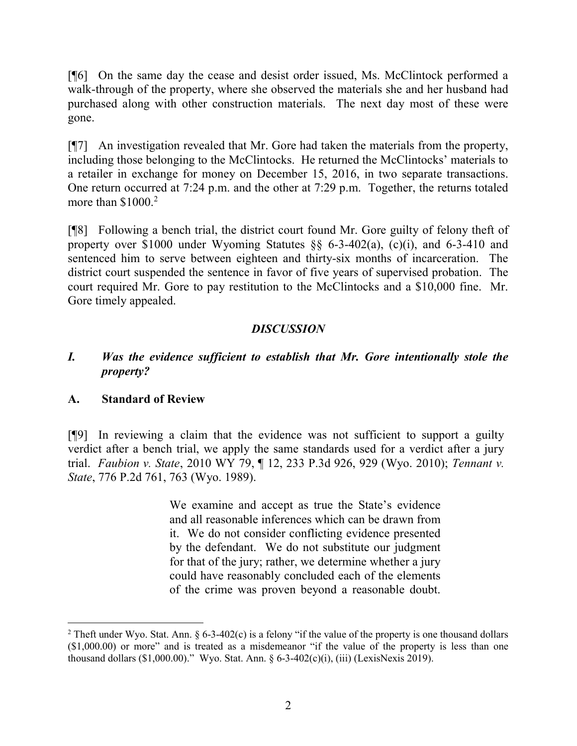[¶6] On the same day the cease and desist order issued, Ms. McClintock performed a walk-through of the property, where she observed the materials she and her husband had purchased along with other construction materials. The next day most of these were gone.

[¶7] An investigation revealed that Mr. Gore had taken the materials from the property, including those belonging to the McClintocks. He returned the McClintocks' materials to a retailer in exchange for money on December 15, 2016, in two separate transactions. One return occurred at 7:24 p.m. and the other at 7:29 p.m. Together, the returns totaled more than  $$1000.<sup>2</sup>$ 

[¶8] Following a bench trial, the district court found Mr. Gore guilty of felony theft of property over \$1000 under Wyoming Statutes §§ 6-3-402(a), (c)(i), and 6-3-410 and sentenced him to serve between eighteen and thirty-six months of incarceration. The district court suspended the sentence in favor of five years of supervised probation. The court required Mr. Gore to pay restitution to the McClintocks and a \$10,000 fine. Mr. Gore timely appealed.

# DISCUSSION

## I. Was the evidence sufficient to establish that Mr. Gore intentionally stole the property?

## A. Standard of Review

 $\overline{a}$ 

[¶9] In reviewing a claim that the evidence was not sufficient to support a guilty verdict after a bench trial, we apply the same standards used for a verdict after a jury trial. Faubion v. State, 2010 WY 79, ¶ 12, 233 P.3d 926, 929 (Wyo. 2010); Tennant v. State, 776 P.2d 761, 763 (Wyo. 1989).

> We examine and accept as true the State's evidence and all reasonable inferences which can be drawn from it. We do not consider conflicting evidence presented by the defendant. We do not substitute our judgment for that of the jury; rather, we determine whether a jury could have reasonably concluded each of the elements of the crime was proven beyond a reasonable doubt.

<sup>&</sup>lt;sup>2</sup> Theft under Wyo. Stat. Ann. § 6-3-402(c) is a felony "if the value of the property is one thousand dollars (\$1,000.00) or more" and is treated as a misdemeanor "if the value of the property is less than one thousand dollars (\$1,000.00)." Wyo. Stat. Ann. § 6-3-402(c)(i), (iii) (LexisNexis 2019).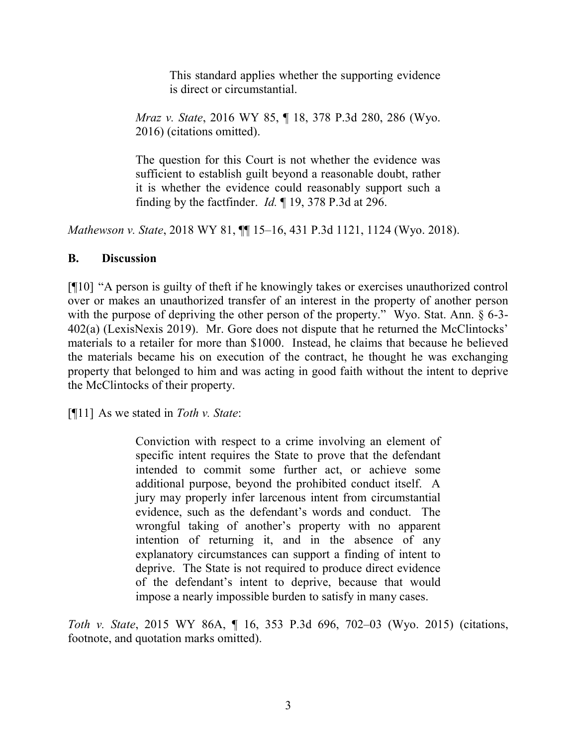This standard applies whether the supporting evidence is direct or circumstantial.

Mraz v. State, 2016 WY 85, ¶ 18, 378 P.3d 280, 286 (Wyo. 2016) (citations omitted).

The question for this Court is not whether the evidence was sufficient to establish guilt beyond a reasonable doubt, rather it is whether the evidence could reasonably support such a finding by the factfinder. Id. ¶ 19, 378 P.3d at 296.

Mathewson v. State, 2018 WY 81,  $\P$  15–16, 431 P.3d 1121, 1124 (Wyo. 2018).

## B. Discussion

[¶10] "A person is guilty of theft if he knowingly takes or exercises unauthorized control over or makes an unauthorized transfer of an interest in the property of another person with the purpose of depriving the other person of the property." Wyo. Stat. Ann. § 6-3-402(a) (LexisNexis 2019). Mr. Gore does not dispute that he returned the McClintocks' materials to a retailer for more than \$1000. Instead, he claims that because he believed the materials became his on execution of the contract, he thought he was exchanging property that belonged to him and was acting in good faith without the intent to deprive the McClintocks of their property.

[ $[$ [11] As we stated in *Toth v. State*:

Conviction with respect to a crime involving an element of specific intent requires the State to prove that the defendant intended to commit some further act, or achieve some additional purpose, beyond the prohibited conduct itself. A jury may properly infer larcenous intent from circumstantial evidence, such as the defendant's words and conduct. The wrongful taking of another's property with no apparent intention of returning it, and in the absence of any explanatory circumstances can support a finding of intent to deprive. The State is not required to produce direct evidence of the defendant's intent to deprive, because that would impose a nearly impossible burden to satisfy in many cases.

Toth v. State, 2015 WY 86A, ¶ 16, 353 P.3d 696, 702–03 (Wyo. 2015) (citations, footnote, and quotation marks omitted).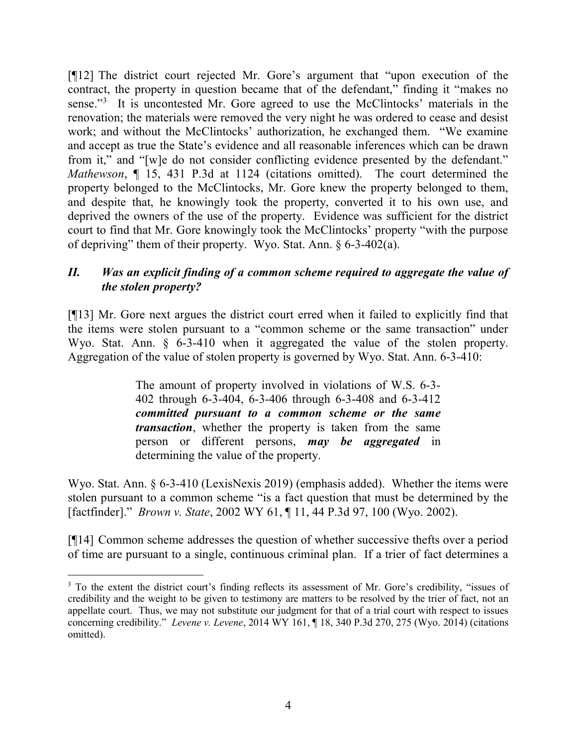[¶12] The district court rejected Mr. Gore's argument that "upon execution of the contract, the property in question became that of the defendant," finding it "makes no sense."<sup>3</sup> It is uncontested Mr. Gore agreed to use the McClintocks' materials in the renovation; the materials were removed the very night he was ordered to cease and desist work; and without the McClintocks' authorization, he exchanged them. "We examine and accept as true the State's evidence and all reasonable inferences which can be drawn from it," and "[w]e do not consider conflicting evidence presented by the defendant." Mathewson,  $\P$  15, 431 P.3d at 1124 (citations omitted). The court determined the property belonged to the McClintocks, Mr. Gore knew the property belonged to them, and despite that, he knowingly took the property, converted it to his own use, and deprived the owners of the use of the property. Evidence was sufficient for the district court to find that Mr. Gore knowingly took the McClintocks' property "with the purpose of depriving" them of their property. Wyo. Stat. Ann. § 6-3-402(a).

# II. Was an explicit finding of a common scheme required to aggregate the value of the stolen property?

[¶13] Mr. Gore next argues the district court erred when it failed to explicitly find that the items were stolen pursuant to a "common scheme or the same transaction" under Wyo. Stat. Ann. § 6-3-410 when it aggregated the value of the stolen property. Aggregation of the value of stolen property is governed by Wyo. Stat. Ann. 6-3-410:

> The amount of property involved in violations of W.S. 6-3- 402 through 6-3-404, 6-3-406 through 6-3-408 and 6-3-412 committed pursuant to a common scheme or the same transaction, whether the property is taken from the same person or different persons, **may be aggregated** in determining the value of the property.

Wyo. Stat. Ann. § 6-3-410 (LexisNexis 2019) (emphasis added). Whether the items were stolen pursuant to a common scheme "is a fact question that must be determined by the [factfinder]." *Brown v. State*, 2002 WY 61, ¶ 11, 44 P.3d 97, 100 (Wyo. 2002).

[¶14] Common scheme addresses the question of whether successive thefts over a period of time are pursuant to a single, continuous criminal plan. If a trier of fact determines a

 $\overline{a}$ 

<sup>&</sup>lt;sup>3</sup> To the extent the district court's finding reflects its assessment of Mr. Gore's credibility, "issues of credibility and the weight to be given to testimony are matters to be resolved by the trier of fact, not an appellate court. Thus, we may not substitute our judgment for that of a trial court with respect to issues concerning credibility." Levene v. Levene, 2014 WY 161, ¶ 18, 340 P.3d 270, 275 (Wyo. 2014) (citations omitted).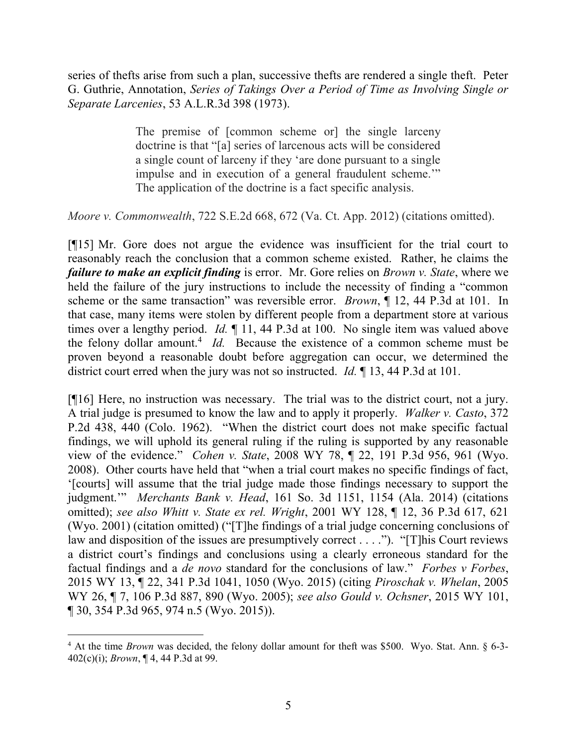series of thefts arise from such a plan, successive thefts are rendered a single theft. Peter G. Guthrie, Annotation, Series of Takings Over a Period of Time as Involving Single or Separate Larcenies, 53 A.L.R.3d 398 (1973).

> The premise of [common scheme or] the single larceny doctrine is that "[a] series of larcenous acts will be considered a single count of larceny if they 'are done pursuant to a single impulse and in execution of a general fraudulent scheme.'" The application of the doctrine is a fact specific analysis.

Moore v. Commonwealth, 722 S.E.2d 668, 672 (Va. Ct. App. 2012) (citations omitted).

[¶15] Mr. Gore does not argue the evidence was insufficient for the trial court to reasonably reach the conclusion that a common scheme existed. Rather, he claims the failure to make an explicit finding is error. Mr. Gore relies on *Brown v. State*, where we held the failure of the jury instructions to include the necessity of finding a "common scheme or the same transaction" was reversible error. *Brown*,  $\parallel$  12, 44 P.3d at 101. In that case, many items were stolen by different people from a department store at various times over a lengthy period. *Id.*  $\blacksquare$  11, 44 P.3d at 100. No single item was valued above the felony dollar amount.<sup>4</sup> Id. Because the existence of a common scheme must be proven beyond a reasonable doubt before aggregation can occur, we determined the district court erred when the jury was not so instructed. Id. ¶ 13, 44 P.3d at 101.

[¶16] Here, no instruction was necessary. The trial was to the district court, not a jury. A trial judge is presumed to know the law and to apply it properly. Walker v. Casto, 372 P.2d 438, 440 (Colo. 1962). "When the district court does not make specific factual findings, we will uphold its general ruling if the ruling is supported by any reasonable view of the evidence." Cohen v. State, 2008 WY 78, ¶ 22, 191 P.3d 956, 961 (Wyo. 2008). Other courts have held that "when a trial court makes no specific findings of fact, '[courts] will assume that the trial judge made those findings necessary to support the judgment."" Merchants Bank v. Head, 161 So. 3d 1151, 1154 (Ala. 2014) (citations omitted); see also Whitt v. State ex rel. Wright, 2001 WY 128, ¶ 12, 36 P.3d 617, 621 (Wyo. 2001) (citation omitted) ("[T]he findings of a trial judge concerning conclusions of law and disposition of the issues are presumptively correct . . . ."). "[T]his Court reviews a district court's findings and conclusions using a clearly erroneous standard for the factual findings and a *de novo* standard for the conclusions of law." Forbes  $v$  Forbes, 2015 WY 13, ¶ 22, 341 P.3d 1041, 1050 (Wyo. 2015) (citing Piroschak v. Whelan, 2005 WY 26, ¶ 7, 106 P.3d 887, 890 (Wyo. 2005); see also Gould v. Ochsner, 2015 WY 101, ¶ 30, 354 P.3d 965, 974 n.5 (Wyo. 2015)).

 $\overline{a}$ 

 $4$  At the time *Brown* was decided, the felony dollar amount for theft was \$500. Wyo. Stat. Ann. § 6-3-402(c)(i); Brown, ¶ 4, 44 P.3d at 99.